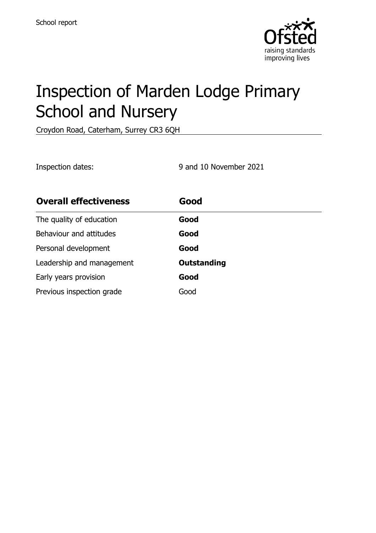

# Inspection of Marden Lodge Primary School and Nursery

Croydon Road, Caterham, Surrey CR3 6QH

Inspection dates: 9 and 10 November 2021

| <b>Overall effectiveness</b> | Good               |
|------------------------------|--------------------|
| The quality of education     | Good               |
| Behaviour and attitudes      | Good               |
| Personal development         | Good               |
| Leadership and management    | <b>Outstanding</b> |
| Early years provision        | Good               |
| Previous inspection grade    | Good               |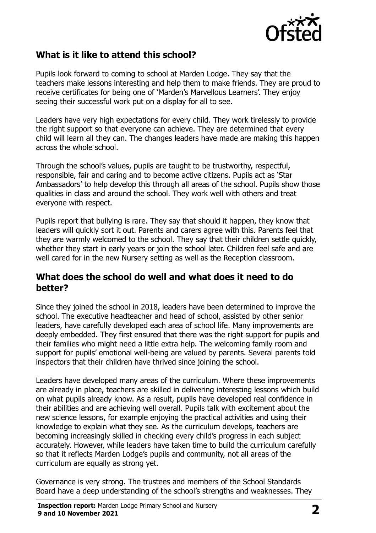

# **What is it like to attend this school?**

Pupils look forward to coming to school at Marden Lodge. They say that the teachers make lessons interesting and help them to make friends. They are proud to receive certificates for being one of 'Marden's Marvellous Learners'. They enjoy seeing their successful work put on a display for all to see.

Leaders have very high expectations for every child. They work tirelessly to provide the right support so that everyone can achieve. They are determined that every child will learn all they can. The changes leaders have made are making this happen across the whole school.

Through the school's values, pupils are taught to be trustworthy, respectful, responsible, fair and caring and to become active citizens. Pupils act as 'Star Ambassadors' to help develop this through all areas of the school. Pupils show those qualities in class and around the school. They work well with others and treat everyone with respect.

Pupils report that bullying is rare. They say that should it happen, they know that leaders will quickly sort it out. Parents and carers agree with this. Parents feel that they are warmly welcomed to the school. They say that their children settle quickly, whether they start in early years or join the school later. Children feel safe and are well cared for in the new Nursery setting as well as the Reception classroom.

#### **What does the school do well and what does it need to do better?**

Since they joined the school in 2018, leaders have been determined to improve the school. The executive headteacher and head of school, assisted by other senior leaders, have carefully developed each area of school life. Many improvements are deeply embedded. They first ensured that there was the right support for pupils and their families who might need a little extra help. The welcoming family room and support for pupils' emotional well-being are valued by parents. Several parents told inspectors that their children have thrived since joining the school.

Leaders have developed many areas of the curriculum. Where these improvements are already in place, teachers are skilled in delivering interesting lessons which build on what pupils already know. As a result, pupils have developed real confidence in their abilities and are achieving well overall. Pupils talk with excitement about the new science lessons, for example enjoying the practical activities and using their knowledge to explain what they see. As the curriculum develops, teachers are becoming increasingly skilled in checking every child's progress in each subject accurately. However, while leaders have taken time to build the curriculum carefully so that it reflects Marden Lodge's pupils and community, not all areas of the curriculum are equally as strong yet.

Governance is very strong. The trustees and members of the School Standards Board have a deep understanding of the school's strengths and weaknesses. They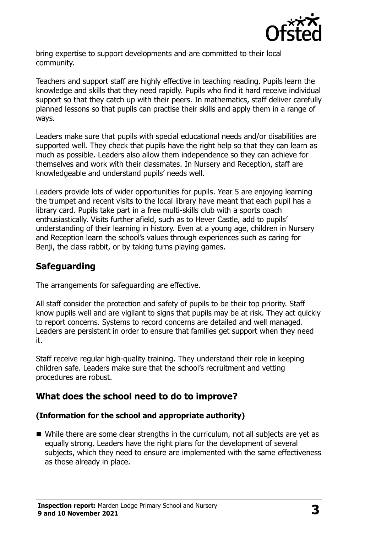

bring expertise to support developments and are committed to their local community.

Teachers and support staff are highly effective in teaching reading. Pupils learn the knowledge and skills that they need rapidly. Pupils who find it hard receive individual support so that they catch up with their peers. In mathematics, staff deliver carefully planned lessons so that pupils can practise their skills and apply them in a range of ways.

Leaders make sure that pupils with special educational needs and/or disabilities are supported well. They check that pupils have the right help so that they can learn as much as possible. Leaders also allow them independence so they can achieve for themselves and work with their classmates. In Nursery and Reception, staff are knowledgeable and understand pupils' needs well.

Leaders provide lots of wider opportunities for pupils. Year 5 are enjoying learning the trumpet and recent visits to the local library have meant that each pupil has a library card. Pupils take part in a free multi-skills club with a sports coach enthusiastically. Visits further afield, such as to Hever Castle, add to pupils' understanding of their learning in history. Even at a young age, children in Nursery and Reception learn the school's values through experiences such as caring for Benji, the class rabbit, or by taking turns playing games.

# **Safeguarding**

The arrangements for safeguarding are effective.

All staff consider the protection and safety of pupils to be their top priority. Staff know pupils well and are vigilant to signs that pupils may be at risk. They act quickly to report concerns. Systems to record concerns are detailed and well managed. Leaders are persistent in order to ensure that families get support when they need it.

Staff receive regular high-quality training. They understand their role in keeping children safe. Leaders make sure that the school's recruitment and vetting procedures are robust.

# **What does the school need to do to improve?**

#### **(Information for the school and appropriate authority)**

■ While there are some clear strengths in the curriculum, not all subjects are yet as equally strong. Leaders have the right plans for the development of several subjects, which they need to ensure are implemented with the same effectiveness as those already in place.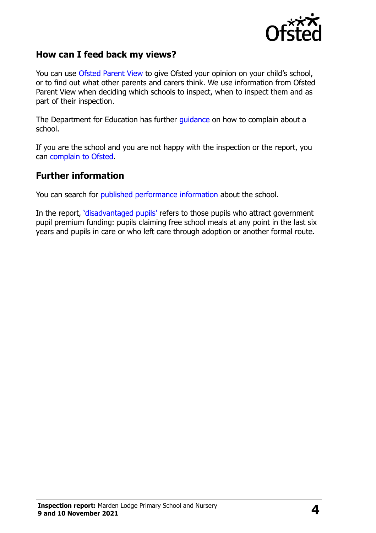

#### **How can I feed back my views?**

You can use [Ofsted Parent View](http://parentview.ofsted.gov.uk/) to give Ofsted your opinion on your child's school, or to find out what other parents and carers think. We use information from Ofsted Parent View when deciding which schools to inspect, when to inspect them and as part of their inspection.

The Department for Education has further [guidance](http://www.gov.uk/complain-about-school) on how to complain about a school.

If you are the school and you are not happy with the inspection or the report, you can [complain to Ofsted.](http://www.gov.uk/complain-ofsted-report)

#### **Further information**

You can search for [published performance information](http://www.compare-school-performance.service.gov.uk/) about the school.

In the report, '[disadvantaged pupils](http://www.gov.uk/guidance/pupil-premium-information-for-schools-and-alternative-provision-settings)' refers to those pupils who attract government pupil premium funding: pupils claiming free school meals at any point in the last six years and pupils in care or who left care through adoption or another formal route.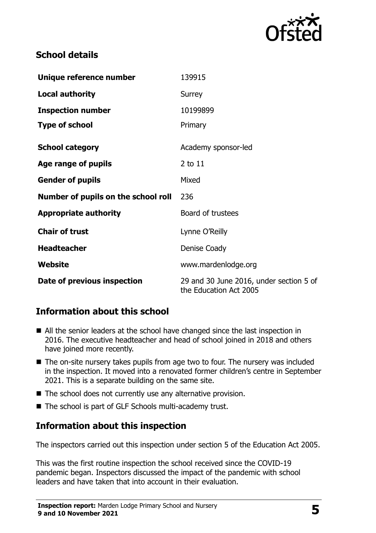

# **School details**

| Unique reference number             | 139915                                                            |
|-------------------------------------|-------------------------------------------------------------------|
| <b>Local authority</b>              | Surrey                                                            |
| <b>Inspection number</b>            | 10199899                                                          |
| <b>Type of school</b>               | Primary                                                           |
| <b>School category</b>              | Academy sponsor-led                                               |
| Age range of pupils                 | 2 to 11                                                           |
| <b>Gender of pupils</b>             | Mixed                                                             |
| Number of pupils on the school roll | 236                                                               |
| <b>Appropriate authority</b>        | Board of trustees                                                 |
| <b>Chair of trust</b>               | Lynne O'Reilly                                                    |
| <b>Headteacher</b>                  | Denise Coady                                                      |
| <b>Website</b>                      | www.mardenlodge.org                                               |
| Date of previous inspection         | 29 and 30 June 2016, under section 5 of<br>the Education Act 2005 |

# **Information about this school**

- All the senior leaders at the school have changed since the last inspection in 2016. The executive headteacher and head of school joined in 2018 and others have joined more recently.
- The on-site nursery takes pupils from age two to four. The nursery was included in the inspection. It moved into a renovated former children's centre in September 2021. This is a separate building on the same site.
- The school does not currently use any alternative provision.
- The school is part of GLF Schools multi-academy trust.

### **Information about this inspection**

The inspectors carried out this inspection under section 5 of the Education Act 2005.

This was the first routine inspection the school received since the COVID-19 pandemic began. Inspectors discussed the impact of the pandemic with school leaders and have taken that into account in their evaluation.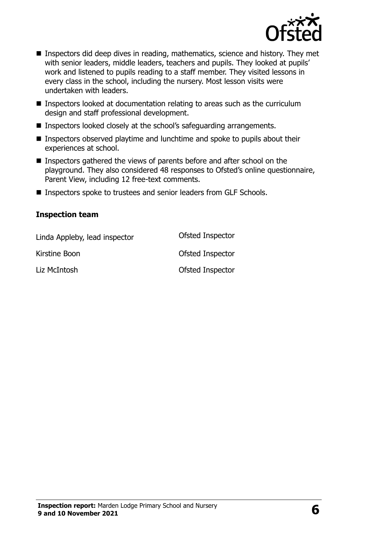

- Inspectors did deep dives in reading, mathematics, science and history. They met with senior leaders, middle leaders, teachers and pupils. They looked at pupils' work and listened to pupils reading to a staff member. They visited lessons in every class in the school, including the nursery. Most lesson visits were undertaken with leaders.
- **Inspectors looked at documentation relating to areas such as the curriculum** design and staff professional development.
- Inspectors looked closely at the school's safeguarding arrangements.
- **Inspectors observed playtime and lunchtime and spoke to pupils about their** experiences at school.
- Inspectors gathered the views of parents before and after school on the playground. They also considered 48 responses to Ofsted's online questionnaire, Parent View, including 12 free-text comments.
- Inspectors spoke to trustees and senior leaders from GLF Schools.

#### **Inspection team**

| Linda Appleby, lead inspector | Ofsted Inspector |
|-------------------------------|------------------|
| Kirstine Boon                 | Ofsted Inspector |
| Liz McIntosh                  | Ofsted Inspector |